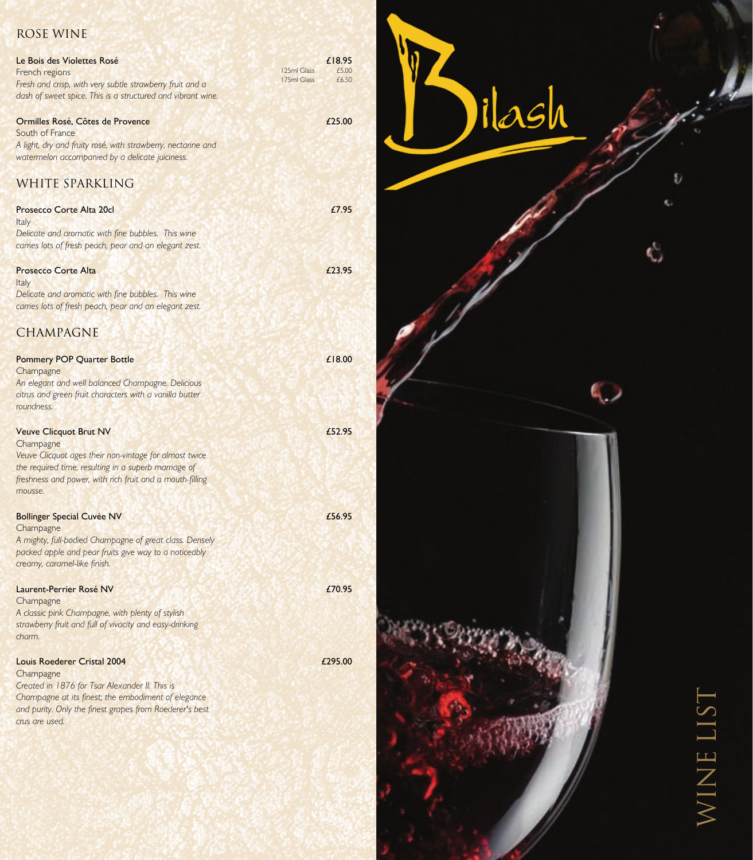## Rose Wine

| Le Bois des Violettes Rosé<br>French regions<br>Fresh and crisp, with very subtle strawberry fruit and a<br>dash of sweet spice. This is a structured and vibrant wine.                                                               | 125ml Glass<br>175ml Glass | £18.95<br>£5.00<br>£6.50 |
|---------------------------------------------------------------------------------------------------------------------------------------------------------------------------------------------------------------------------------------|----------------------------|--------------------------|
| Ormilles Rosé, Côtes de Provence<br>South of France<br>A light, dry and fruity rosé, with strawberry, nectarine and<br>watermelon accompanied by a delicate juiciness.<br>WHITE SPARKLING                                             |                            | £25.00                   |
| Prosecco Corte Alta 20cl<br>Italy<br>Delicate and aromatic with fine bubbles. This wine<br>carries lots of fresh peach, pear and an elegant zest.                                                                                     |                            | £7.95                    |
| <b>Prosecco Corte Alta</b><br>Italy<br>Delicate and aromatic with fine bubbles. This wine<br>carries lots of fresh peach, pear and an elegant zest.<br><b>CHAMPAGNE</b>                                                               |                            | £23.95                   |
| <b>Pommery POP Quarter Bottle</b><br>Champagne<br>An elegant and well balanced Champagne. Delicious<br>citrus and green fruit characters with a vanilla butter<br>roundness.                                                          |                            | £18.00                   |
| <b>Veuve Clicquot Brut NV</b><br>Champagne<br>Veuve Clicquot ages their non-vintage for almost twice<br>the required time, resulting in a superb marriage of<br>freshness and power, with rich fruit and a mouth-filling<br>mousse.   |                            | £52.95                   |
| <b>Bollinger Special Cuvée NV</b><br>Champagne<br>A mighty, full-bodied Champagne of great class. Densely<br>packed apple and pear fruits give way to a noticeably<br>creamy, caramel-like finish.                                    |                            | £56.95                   |
| Laurent-Perrier Rosé NV<br>Champagne<br>A classic pink Champagne, with plenty of stylish<br>strawberry fruit and full of vivacity and easy-drinking<br>charm.                                                                         |                            | £70.95                   |
| <b>Louis Roederer Cristal 2004</b><br>Champagne<br>Created in 1876 for Tsar Alexander II. This is<br>Champagne at its finest; the embodiment of elegance<br>and purity. Only the finest grapes from Roederer's best<br>crus are used. |                            | £295.00                  |